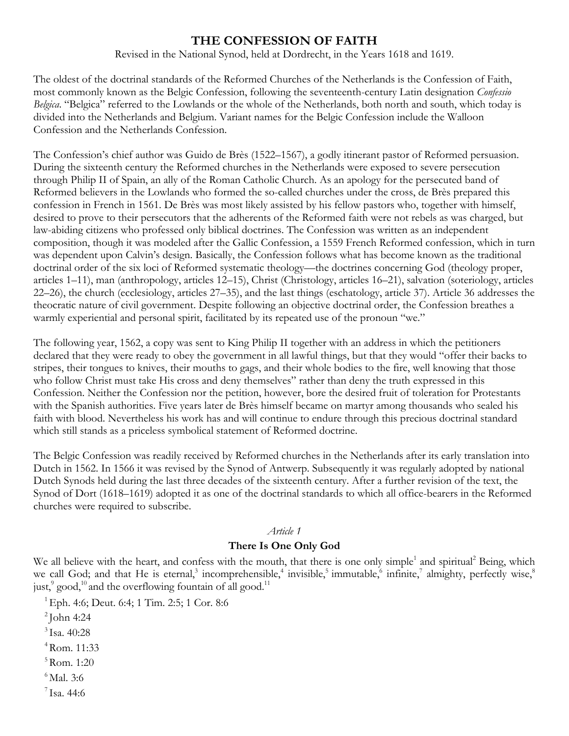# **THE CONFESSION OF FAITH**

## Revised in the National Synod, held at Dordrecht, in the Years 1618 and 1619.

The oldest of the doctrinal standards of the Reformed Churches of the Netherlands is the Confession of Faith, most commonly known as the Belgic Confession, following the seventeenth-century Latin designation *Confessio Belgica*. "Belgica" referred to the Lowlands or the whole of the Netherlands, both north and south, which today is divided into the Netherlands and Belgium. Variant names for the Belgic Confession include the Walloon Confession and the Netherlands Confession.

The Confession's chief author was Guido de Brès (1522–1567), a godly itinerant pastor of Reformed persuasion. During the sixteenth century the Reformed churches in the Netherlands were exposed to severe persecution through Philip II of Spain, an ally of the Roman Catholic Church. As an apology for the persecuted band of Reformed believers in the Lowlands who formed the so-called churches under the cross, de Brès prepared this confession in French in 1561. De Brès was most likely assisted by his fellow pastors who, together with himself, desired to prove to their persecutors that the adherents of the Reformed faith were not rebels as was charged, but law-abiding citizens who professed only biblical doctrines. The Confession was written as an independent composition, though it was modeled after the Gallic Confession, a 1559 French Reformed confession, which in turn was dependent upon Calvin's design. Basically, the Confession follows what has become known as the traditional doctrinal order of the six loci of Reformed systematic theology—the doctrines concerning God (theology proper, articles 1–11), man (anthropology, articles 12–15), Christ (Christology, articles 16–21), salvation (soteriology, articles 22–26), the church (ecclesiology, articles 27–35), and the last things (eschatology, article 37). Article 36 addresses the theocratic nature of civil government. Despite following an objective doctrinal order, the Confession breathes a warmly experiential and personal spirit, facilitated by its repeated use of the pronoun "we."

The following year, 1562, a copy was sent to King Philip II together with an address in which the petitioners declared that they were ready to obey the government in all lawful things, but that they would "offer their backs to stripes, their tongues to knives, their mouths to gags, and their whole bodies to the fire, well knowing that those who follow Christ must take His cross and deny themselves" rather than deny the truth expressed in this Confession. Neither the Confession nor the petition, however, bore the desired fruit of toleration for Protestants with the Spanish authorities. Five years later de Brès himself became on martyr among thousands who sealed his faith with blood. Nevertheless his work has and will continue to endure through this precious doctrinal standard which still stands as a priceless symbolical statement of Reformed doctrine.

The Belgic Confession was readily received by Reformed churches in the Netherlands after its early translation into Dutch in 1562. In 1566 it was revised by the Synod of Antwerp. Subsequently it was regularly adopted by national Dutch Synods held during the last three decades of the sixteenth century. After a further revision of the text, the Synod of Dort (1618–1619) adopted it as one of the doctrinal standards to which all office-bearers in the Reformed churches were required to subscribe.

## *Article 1*

## **There Is One Only God**

We all believe with the heart, and confess with the mouth, that there is one only simple<sup>1</sup> and spiritual<sup>2</sup> Being, which we call God; and that He is eternal,<sup>3</sup> incomprehensible,<sup>4</sup> invisible,<sup>5</sup> immutable,<sup>6</sup> infinite,<sup>7</sup> almighty, perfectly wise,<sup>8</sup> just, $\degree$  good, $\degree$ <sup>10</sup> and the overflowing fountain of all good.<sup>11</sup>

 $1$  Eph. 4:6; Deut. 6:4; 1 Tim. 2:5; 1 Cor. 8:6  $2$  John 4:24  $3$  Isa. 40:28

- $4$  Rom. 11:33
- $5$  Rom. 1:20
- $^{6}$  Mal. 3:6
- $7$  Isa, 44:6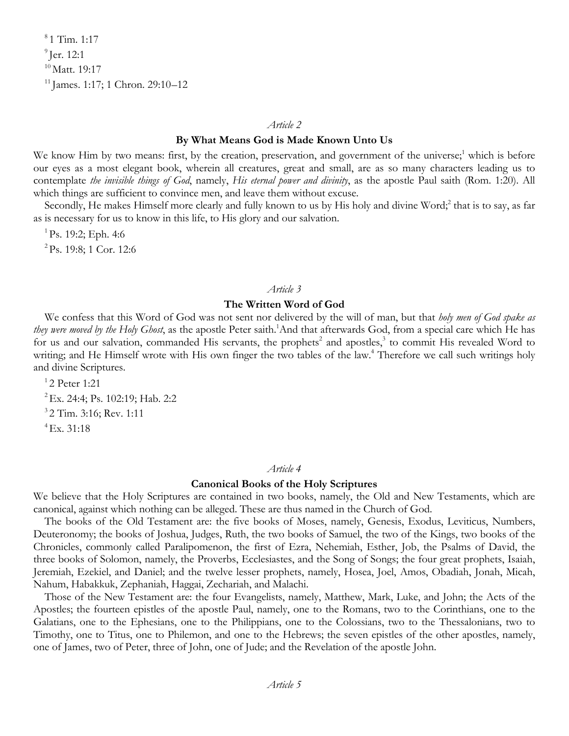8 1 Tim. 1:17  $<sup>9</sup>$  Ier. 12:1</sup>  $10$  Matt. 19:17 11 James. 1:17; 1 Chron. 29:10–12

# *Article 2*

## **By What Means God is Made Known Unto Us**

We know Him by two means: first, by the creation, preservation, and government of the universe;<sup>1</sup> which is before our eyes as a most elegant book, wherein all creatures, great and small, are as so many characters leading us to contemplate *the invisible things of God*, namely, *His eternal power and divinity*, as the apostle Paul saith (Rom. 1:20). All which things are sufficient to convince men, and leave them without excuse.

Secondly, He makes Himself more clearly and fully known to us by His holy and divine Word;<sup>2</sup> that is to say, as far as is necessary for us to know in this life, to His glory and our salvation.

 $1$  Ps. 19:2; Eph. 4:6 2 Ps. 19:8; 1 Cor. 12:6

#### *Article 3*

### **The Written Word of God**

We confess that this Word of God was not sent nor delivered by the will of man, but that *holy men of God spake as*  they were moved by the Holy Ghost, as the apostle Peter saith.<sup>1</sup>And that afterwards God, from a special care which He has for us and our salvation, commanded His servants, the prophets<sup>2</sup> and apostles,<sup>3</sup> to commit His revealed Word to writing; and He Himself wrote with His own finger the two tables of the law.<sup>4</sup> Therefore we call such writings holy and divine Scriptures.

<sup>1</sup> 2 Peter 1:21  ${}^{2}$ Ex. 24:4; Ps. 102:19; Hab. 2:2 3 2 Tim. 3:16; Rev. 1:11  $^4$ Ex. 31:18

#### *Article 4*

#### **Canonical Books of the Holy Scriptures**

We believe that the Holy Scriptures are contained in two books, namely, the Old and New Testaments, which are canonical, against which nothing can be alleged. These are thus named in the Church of God.

The books of the Old Testament are: the five books of Moses, namely, Genesis, Exodus, Leviticus, Numbers, Deuteronomy; the books of Joshua, Judges, Ruth, the two books of Samuel, the two of the Kings, two books of the Chronicles, commonly called Paralipomenon, the first of Ezra, Nehemiah, Esther, Job, the Psalms of David, the three books of Solomon, namely, the Proverbs, Ecclesiastes, and the Song of Songs; the four great prophets, Isaiah, Jeremiah, Ezekiel, and Daniel; and the twelve lesser prophets, namely, Hosea, Joel, Amos, Obadiah, Jonah, Micah, Nahum, Habakkuk, Zephaniah, Haggai, Zechariah, and Malachi.

Those of the New Testament are: the four Evangelists, namely, Matthew, Mark, Luke, and John; the Acts of the Apostles; the fourteen epistles of the apostle Paul, namely, one to the Romans, two to the Corinthians, one to the Galatians, one to the Ephesians, one to the Philippians, one to the Colossians, two to the Thessalonians, two to Timothy, one to Titus, one to Philemon, and one to the Hebrews; the seven epistles of the other apostles, namely, one of James, two of Peter, three of John, one of Jude; and the Revelation of the apostle John.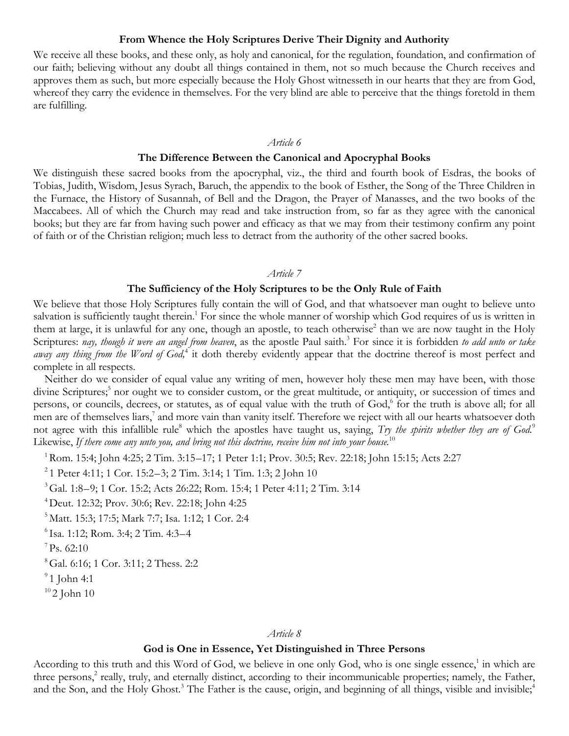### **From Whence the Holy Scriptures Derive Their Dignity and Authority**

We receive all these books, and these only, as holy and canonical, for the regulation, foundation, and confirmation of our faith; believing without any doubt all things contained in them, not so much because the Church receives and approves them as such, but more especially because the Holy Ghost witnesseth in our hearts that they are from God, whereof they carry the evidence in themselves. For the very blind are able to perceive that the things foretold in them are fulfilling.

## *Article 6*

## **The Difference Between the Canonical and Apocryphal Books**

We distinguish these sacred books from the apocryphal, viz., the third and fourth book of Esdras, the books of Tobias, Judith, Wisdom, Jesus Syrach, Baruch, the appendix to the book of Esther, the Song of the Three Children in the Furnace, the History of Susannah, of Bell and the Dragon, the Prayer of Manasses, and the two books of the Maccabees. All of which the Church may read and take instruction from, so far as they agree with the canonical books; but they are far from having such power and efficacy as that we may from their testimony confirm any point of faith or of the Christian religion; much less to detract from the authority of the other sacred books.

### *Article 7*

## **The Sufficiency of the Holy Scriptures to be the Only Rule of Faith**

We believe that those Holy Scriptures fully contain the will of God, and that whatsoever man ought to believe unto salvation is sufficiently taught therein.<sup>1</sup> For since the whole manner of worship which God requires of us is written in them at large, it is unlawful for any one, though an apostle, to teach otherwise<sup>2</sup> than we are now taught in the Holy Scriptures: *nay, though it were an angel from heaven*, as the apostle Paul saith.<sup>3</sup> For since it is forbidden *to add unto or take away any thing from the Word of God*,<sup>4</sup> it doth thereby evidently appear that the doctrine thereof is most perfect and complete in all respects.

Neither do we consider of equal value any writing of men, however holy these men may have been, with those divine Scriptures;<sup>5</sup> nor ought we to consider custom, or the great multitude, or antiquity, or succession of times and persons, or councils, decrees, or statutes, as of equal value with the truth of God,<sup>6</sup> for the truth is above all; for all men are of themselves liars,<sup>7</sup> and more vain than vanity itself. Therefore we reject with all our hearts whatsoever doth not agree with this infallible rule<sup>8</sup> which the apostles have taught us, saying, *Try the spirits whether they are of God.*<sup>9</sup> Likewise, *If there come any unto you, and bring not this doctrine, receive him not into your house.*<sup>10</sup>

1 Rom. 15:4; John 4:25; 2 Tim. 3:15–17; 1 Peter 1:1; Prov. 30:5; Rev. 22:18; John 15:15; Acts 2:27

 $2^{2}$ 1 Peter 4:11; 1 Cor. 15:2–3; 2 Tim. 3:14; 1 Tim. 1:3; 2 John 10

3 Gal. 1:8–9; 1 Cor. 15:2; Acts 26:22; Rom. 15:4; 1 Peter 4:11; 2 Tim. 3:14

4 Deut. 12:32; Prov. 30:6; Rev. 22:18; John 4:25

5 Matt. 15:3; 17:5; Mark 7:7; Isa. 1:12; 1 Cor. 2:4

 $6$  Isa. 1:12; Rom. 3:4; 2 Tim. 4:3-4

 $^{7}$  Ps. 62:10

8 Gal. 6:16; 1 Cor. 3:11; 2 Thess. 2:2

 $9$  1 John 4:1

 $10^{10}$  2 John 10

#### *Article 8*

### **God is One in Essence, Yet Distinguished in Three Persons**

According to this truth and this Word of God, we believe in one only God, who is one single essence,<sup>1</sup> in which are three persons,<sup>2</sup> really, truly, and eternally distinct, according to their incommunicable properties; namely, the Father, and the Son, and the Holy Ghost.<sup>3</sup> The Father is the cause, origin, and beginning of all things, visible and invisible;<sup>4</sup>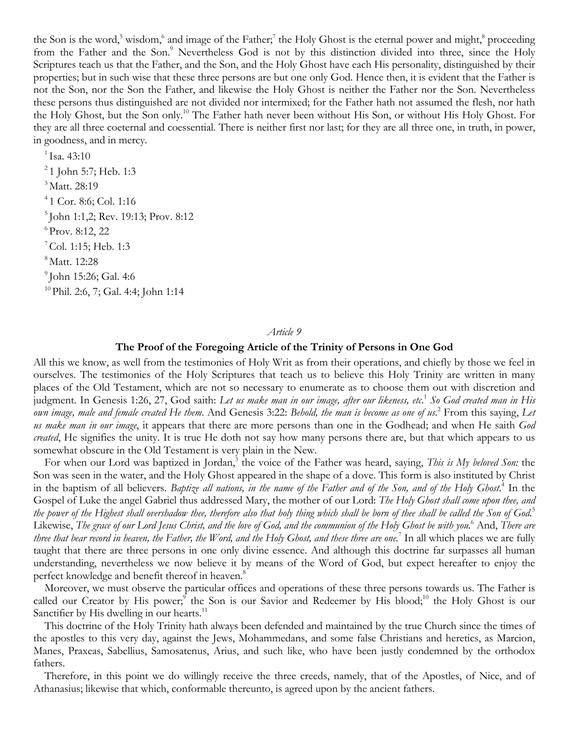the Son is the word,<sup>5</sup> wisdom,<sup>6</sup> and image of the Father;<sup>7</sup> the Holy Ghost is the eternal power and might, $8$  proceeding from the Father and the Son.<sup>9</sup> Nevertheless God is not by this distinction divided into three, since the Holy Scriptures teach us that the Father, and the Son, and the Holy Ghost have each His personality, distinguished by their properties; but in such wise that these three persons are but one only God. Hence then, it is evident that the Father is not the Son, nor the Son the Father, and likewise the Holy Ghost is neither the Father nor the Son. Nevertheless these persons thus distinguished are not divided nor intermixed; for the Father hath not assumed the flesh, nor hath the Holy Ghost, but the Son only.10 The Father hath never been without His Son, or without His Holy Ghost. For they are all three coeternal and coessential. There is neither first nor last; for they are all three one, in truth, in power, in goodness, and in mercy.

 $1$  Isa. 43:10 2 1 John 5:7; Heb. 1:3 <sup>3</sup> Matt. 28:19 4 1 Cor. 8:6; Col. 1:16 5 John 1:1,2; Rev. 19:13; Prov. 8:12  ${}^{6}$  Prov. 8:12, 22 7 Col. 1:15; Heb. 1:3 8 Matt. 12:28 <sup>9</sup> John 15:26; Gal. 4:6 10 Phil. 2:6, 7; Gal. 4:4; John 1:14

### *Article 9*

# **The Proof of the Foregoing Article of the Trinity of Persons in One God**

All this we know, as well from the testimonies of Holy Writ as from their operations, and chiefly by those we feel in ourselves. The testimonies of the Holy Scriptures that teach us to believe this Holy Trinity are written in many places of the Old Testament, which are not so necessary to enumerate as to choose them out with discretion and judgment. In Genesis 1:26, 27, God saith: *Let us make man in our image, after our likeness, etc*. <sup>1</sup> *So God created man in His own image, male and female created He them*. And Genesis 3:22: *Behold, the man is become as one of us*. <sup>2</sup> From this saying, *Let us make man in our image*, it appears that there are more persons than one in the Godhead; and when He saith *God created*, He signifies the unity. It is true He doth not say how many persons there are, but that which appears to us somewhat obscure in the Old Testament is very plain in the New.

For when our Lord was baptized in Jordan,<sup>3</sup> the voice of the Father was heard, saying, *This is My beloved Son*: the Son was seen in the water, and the Holy Ghost appeared in the shape of a dove. This form is also instituted by Christ in the baptism of all believers. *Baptize all nations, in the name of the Father and of the Son, and of the Holy Ghost*. <sup>4</sup> In the Gospel of Luke the angel Gabriel thus addressed Mary, the mother of our Lord: *The Holy Ghost shall come upon thee, and the power of the Highest shall overshadow thee, therefore also that holy thing which shall be born of thee shall be called the Son of God.*<sup>5</sup> Likewise, *The grace of our Lord Jesus Christ, and the love of God, and the communion of the Holy Ghost be with you.*<sup>6</sup> And, *There are three that bear record in heaven, the Father, the Word, and the Holy Ghost, and these three are one.*<sup>7</sup> In all which places we are fully taught that there are three persons in one only divine essence. And although this doctrine far surpasses all human understanding, nevertheless we now believe it by means of the Word of God, but expect hereafter to enjoy the perfect knowledge and benefit thereof in heaven.<sup>8</sup>

Moreover, we must observe the particular offices and operations of these three persons towards us. The Father is called our Creator by His power;<sup>9</sup> the Son is our Savior and Redeemer by His blood;<sup>10</sup> the Holy Ghost is our Sanctifier by His dwelling in our hearts. $^{11}$ 

This doctrine of the Holy Trinity hath always been defended and maintained by the true Church since the times of the apostles to this very day, against the Jews, Mohammedans, and some false Christians and heretics, as Marcion, Manes, Praxeas, Sabellius, Samosatenus, Arius, and such like, who have been justly condemned by the orthodox fathers.

Therefore, in this point we do willingly receive the three creeds, namely, that of the Apostles, of Nice, and of Athanasius; likewise that which, conformable thereunto, is agreed upon by the ancient fathers.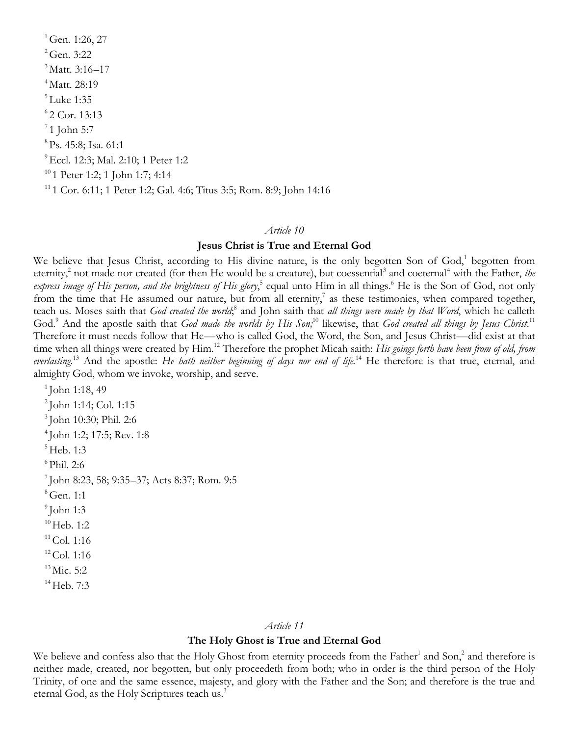$1$ <sup>1</sup> Gen. 1:26, 27  $2^2$  Gen. 3:22 3 Matt. 3:16–17 4 Matt. 28:19 <sup>5</sup>Luke 1:35 6 2 Cor. 13:13  $7$  1 John 5:7 8 Ps. 45:8; Isa. 61:1 <sup>9</sup> Eccl. 12:3; Mal. 2:10; 1 Peter 1:2 <sup>10</sup> 1 Peter 1:2; 1 John 1:7; 4:14 11 1 Cor. 6:11; 1 Peter 1:2; Gal. 4:6; Titus 3:5; Rom. 8:9; John 14:16

## *Article 10*

## **Jesus Christ is True and Eternal God**

We believe that Jesus Christ, according to His divine nature, is the only begotten Son of God,<sup>1</sup> begotten from eternity,<sup>2</sup> not made nor created (for then He would be a creature), but coessential<sup>3</sup> and coeternal<sup>4</sup> with the Father, the express image of His person, and the brightness of His glory,<sup>5</sup> equal unto Him in all things.<sup>6</sup> He is the Son of God, not only from the time that He assumed our nature, but from all eternity,<sup>7</sup> as these testimonies, when compared together, teach us. Moses saith that *God created the world*; <sup>8</sup> and John saith that *all things were made by that Word*, which he calleth God.<sup>9</sup> And the apostle saith that *God made the worlds by His Son*;<sup>10</sup> likewise, that *God created all things by Jesus Christ*.<sup>11</sup> Therefore it must needs follow that He—who is called God, the Word, the Son, and Jesus Christ—did exist at that time when all things were created by Him.<sup>12</sup> Therefore the prophet Micah saith: *His goings forth have been from of old, from everlasting.*<sup>13</sup> And the apostle: *He hath neither beginning of days nor end of life.*<sup>14</sup> He therefore is that true, eternal, and almighty God, whom we invoke, worship, and serve.

 $1$  John 1:18, 49  $2$  John 1:14; Col. 1:15 3 John 10:30; Phil. 2:6 4 John 1:2; 17:5; Rev. 1:8 5 Heb. 1:3  $6$  Phil. 2:6 7 John 8:23, 58; 9:35–37; Acts 8:37; Rom. 9:5 8 Gen. 1:1  $<sup>9</sup>$  John 1:3</sup>  $10$  Heb. 1:2  $11$  Col. 1:16  $12$  Col. 1:16  $13$  Mic. 5:2  $14$  Heb. 7:3

#### *Article 11*

### **The Holy Ghost is True and Eternal God**

We believe and confess also that the Holy Ghost from eternity proceeds from the Father<sup>1</sup> and Son,<sup>2</sup> and therefore is neither made, created, nor begotten, but only proceedeth from both; who in order is the third person of the Holy Trinity, of one and the same essence, majesty, and glory with the Father and the Son; and therefore is the true and eternal God, as the Holy Scriptures teach us.<sup>3</sup>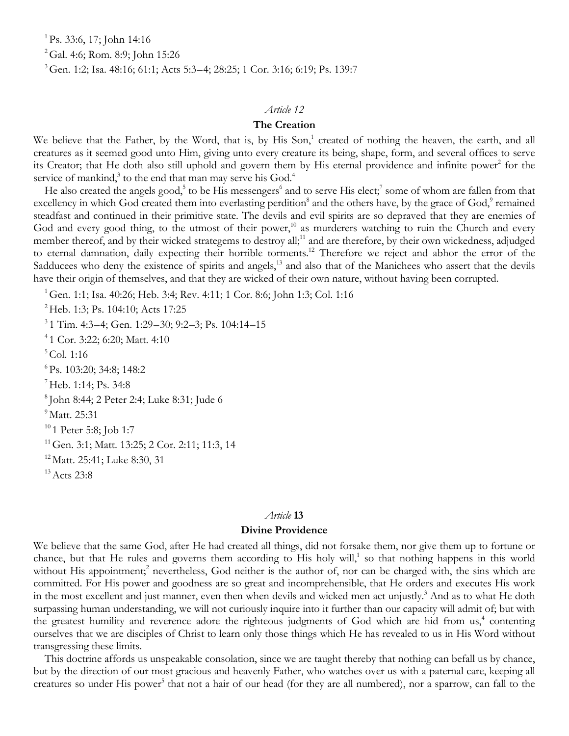1 Ps. 33:6, 17; John 14:16 2 Gal. 4:6; Rom. 8:9; John 15:26 3 Gen. 1:2; Isa. 48:16; 61:1; Acts 5:3–4; 28:25; 1 Cor. 3:16; 6:19; Ps. 139:7

# *Article 12*

## **The Creation**

We believe that the Father, by the Word, that is, by His Son,<sup>1</sup> created of nothing the heaven, the earth, and all creatures as it seemed good unto Him, giving unto every creature its being, shape, form, and several offices to serve its Creator; that He doth also still uphold and govern them by His eternal providence and infinite power<sup>2</sup> for the service of mankind, $3$  to the end that man may serve his God. $4$ 

He also created the angels good,<sup>5</sup> to be His messengers<sup>6</sup> and to serve His elect;<sup>7</sup> some of whom are fallen from that excellency in which God created them into everlasting perdition<sup>8</sup> and the others have, by the grace of God,<sup>9</sup> remained steadfast and continued in their primitive state. The devils and evil spirits are so depraved that they are enemies of God and every good thing, to the utmost of their power,<sup>10</sup> as murderers watching to ruin the Church and every member thereof, and by their wicked strategems to destroy all;<sup>11</sup> and are therefore, by their own wickedness, adjudged to eternal damnation, daily expecting their horrible torments.<sup>12</sup> Therefore we reject and abhor the error of the Sadducees who deny the existence of spirits and angels,<sup>13</sup> and also that of the Manichees who assert that the devils have their origin of themselves, and that they are wicked of their own nature, without having been corrupted.

1 Gen. 1:1; Isa. 40:26; Heb. 3:4; Rev. 4:11; 1 Cor. 8:6; John 1:3; Col. 1:16

<sup>2</sup> Heb. 1:3; Ps. 104:10; Acts 17:25 3 1 Tim. 4:3–4; Gen. 1:29–30; 9:2–3; Ps. 104:14–15 4 1 Cor. 3:22; 6:20; Matt. 4:10  $5$  Col. 1:16 6 Ps. 103:20; 34:8; 148:2 7 Heb. 1:14; Ps. 34:8 8 John 8:44; 2 Peter 2:4; Luke 8:31; Jude 6 <sup>9</sup> Matt. 25:31  $10^{10}$  1 Peter 5:8; Job 1:7 11 Gen. 3:1; Matt. 13:25; 2 Cor. 2:11; 11:3, 14 12 Matt. 25:41; Luke 8:30, 31 <sup>13</sup> Acts 23:8

#### *Article* **13**

#### **Divine Providence**

We believe that the same God, after He had created all things, did not forsake them, nor give them up to fortune or chance, but that He rules and governs them according to His holy will,<sup>1</sup> so that nothing happens in this world without His appointment;<sup>2</sup> nevertheless, God neither is the author of, nor can be charged with, the sins which are committed. For His power and goodness are so great and incomprehensible, that He orders and executes His work in the most excellent and just manner, even then when devils and wicked men act unjustly.<sup>3</sup> And as to what He doth surpassing human understanding, we will not curiously inquire into it further than our capacity will admit of; but with the greatest humility and reverence adore the righteous judgments of God which are hid from us,<sup>4</sup> contenting ourselves that we are disciples of Christ to learn only those things which He has revealed to us in His Word without transgressing these limits.

This doctrine affords us unspeakable consolation, since we are taught thereby that nothing can befall us by chance, but by the direction of our most gracious and heavenly Father, who watches over us with a paternal care, keeping all creatures so under His power<sup>5</sup> that not a hair of our head (for they are all numbered), nor a sparrow, can fall to the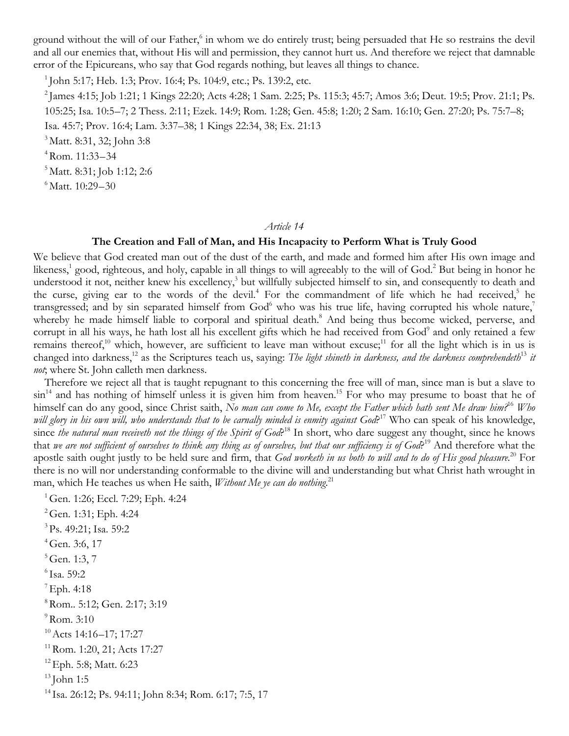ground without the will of our Father,<sup>6</sup> in whom we do entirely trust; being persuaded that He so restrains the devil and all our enemies that, without His will and permission, they cannot hurt us. And therefore we reject that damnable error of the Epicureans, who say that God regards nothing, but leaves all things to chance.

 $1$ John 5:17; Heb. 1:3; Prov. 16:4; Ps. 104:9, etc.; Ps. 139:2, etc.

<sup>2</sup> James 4:15; Job 1:21; 1 Kings 22:20; Acts 4:28; 1 Sam. 2:25; Ps. 115:3; 45:7; Amos 3:6; Deut. 19:5; Prov. 21:1; Ps. 105:25; Isa. 10:5–7; 2 Thess. 2:11; Ezek. 14:9; Rom. 1:28; Gen. 45:8; 1:20; 2 Sam. 16:10; Gen. 27:20; Ps. 75:7–8; Isa. 45:7; Prov. 16:4; Lam. 3:37–38; 1 Kings 22:34, 38; Ex. 21:13 3 Matt. 8:31, 32; John 3:8 4 Rom. 11:33–34 5 Matt. 8:31; Job 1:12; 2:6

 $6$  Matt. 10:29-30

### *Article 14*

## **The Creation and Fall of Man, and His Incapacity to Perform What is Truly Good**

We believe that God created man out of the dust of the earth, and made and formed him after His own image and likeness,<sup>1</sup> good, righteous, and holy, capable in all things to will agreeably to the will of God.<sup>2</sup> But being in honor he understood it not, neither knew his excellency,<sup>3</sup> but willfully subjected himself to sin, and consequently to death and the curse, giving ear to the words of the devil.<sup>4</sup> For the commandment of life which he had received,<sup>5</sup> he transgressed; and by sin separated himself from  $God<sup>6</sup>$  who was his true life, having corrupted his whole nature,<sup>7</sup> whereby he made himself liable to corporal and spiritual death.<sup>8</sup> And being thus become wicked, perverse, and corrupt in all his ways, he hath lost all his excellent gifts which he had received from God<sup>9</sup> and only retained a few remains thereof,<sup>10</sup> which, however, are sufficient to leave man without excuse;<sup>11</sup> for all the light which is in us is changed into darkness,<sup>12</sup> as the Scriptures teach us, saying: *The light shineth in darkness, and the darkness comprehendeth*<sup>13</sup> *it not*; where St. John calleth men darkness.

Therefore we reject all that is taught repugnant to this concerning the free will of man, since man is but a slave to  $\sin^{14}$  and has nothing of himself unless it is given him from heaven.<sup>15</sup> For who may presume to boast that he of himself can do any good, since Christ saith, *No man can come to Me, except the Father which hath sent Me draw him?*<sup>16</sup> *Who*  will glory in his own will, who understands that to be carnally minded is enmity against God?<sup>17</sup> Who can speak of his knowledge, since *the natural man receiveth not the things of the Spirit of God*? <sup>18</sup> In short, who dare suggest any thought, since he knows that *we are not sufficient of ourselves to think any thing as of ourselves, but that our sufficiency is of God*? <sup>19</sup> And therefore what the apostle saith ought justly to be held sure and firm, that *God worketh in us both to will and to do of His good pleasure*.<sup>20</sup> For there is no will nor understanding conformable to the divine will and understanding but what Christ hath wrought in man, which He teaches us when He saith, *Without Me ye can do nothing*. 21

 $1$ <sup>1</sup> Gen. 1:26; Eccl. 7:29; Eph. 4:24  $2^{2}$ Gen. 1:31; Eph. 4:24 3 Ps. 49:21; Isa. 59:2 <sup>4</sup> Gen. 3:6, 17  $5$  Gen. 1:3, 7  $6$  Isa, 59:2  $^7$  Eph. 4:18 8 Rom.. 5:12; Gen. 2:17; 3:19  $\mathrm{P}$  Rom. 3:10 10 Acts 14:16–17; 17:27 11 Rom. 1:20, 21; Acts 17:27  $12$  Eph. 5:8; Matt. 6:23  $13$  John 1:5 14 Isa. 26:12; Ps. 94:11; John 8:34; Rom. 6:17; 7:5, 17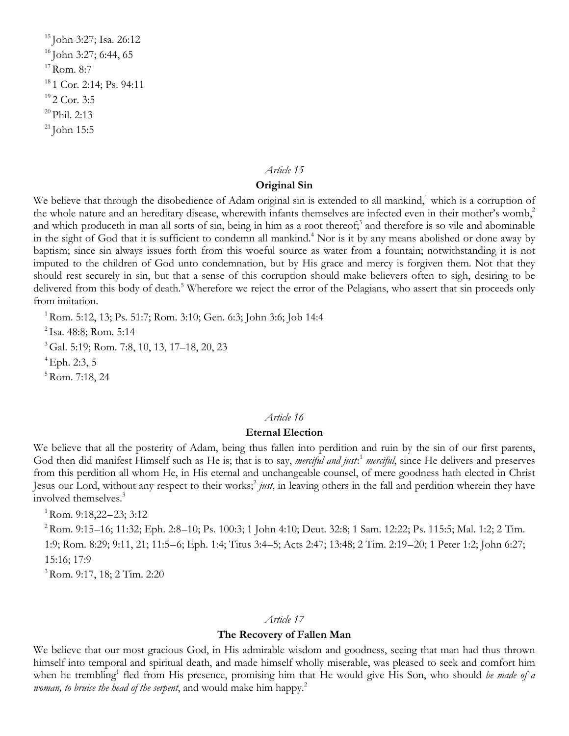15 John 3:27; Isa. 26:12  $16$  John 3:27; 6:44, 65  $17$  Rom. 8:7 18 1 Cor. 2:14; Ps. 94:11  $19$  2 Cor. 3:5 <sup>20</sup> Phil. 2:13  $^{21}$  John 15:5

# *Article 15*

### **Original Sin**

We believe that through the disobedience of Adam original sin is extended to all mankind,<sup>1</sup> which is a corruption of the whole nature and an hereditary disease, wherewith infants themselves are infected even in their mother's womb,<sup>2</sup> and which produceth in man all sorts of sin, being in him as a root thereof;<sup>3</sup> and therefore is so vile and abominable in the sight of God that it is sufficient to condemn all mankind.<sup>4</sup> Nor is it by any means abolished or done away by baptism; since sin always issues forth from this woeful source as water from a fountain; notwithstanding it is not imputed to the children of God unto condemnation, but by His grace and mercy is forgiven them. Not that they should rest securely in sin, but that a sense of this corruption should make believers often to sigh, desiring to be delivered from this body of death.<sup>5</sup> Wherefore we reject the error of the Pelagians, who assert that sin proceeds only from imitation.

1 Rom. 5:12, 13; Ps. 51:7; Rom. 3:10; Gen. 6:3; John 3:6; Job 14:4 2 Isa. 48:8; Rom. 5:14 3 Gal. 5:19; Rom. 7:8, 10, 13, 17–18, 20, 23  $^4$  Eph. 2:3, 5  $5$  Rom. 7:18, 24

### *Article 16*

### **Eternal Election**

We believe that all the posterity of Adam, being thus fallen into perdition and ruin by the sin of our first parents, God then did manifest Himself such as He is; that is to say, *merciful and just*: <sup>1</sup> *merciful*, since He delivers and preserves from this perdition all whom He, in His eternal and unchangeable counsel, of mere goodness hath elected in Christ Jesus our Lord, without any respect to their works;<sup>2</sup> *just*, in leaving others in the fall and perdition wherein they have involved themselves.3

 $1$  Rom. 9:18,22–23; 3:12

<sup>2</sup> Rom. 9:15–16; 11:32; Eph. 2:8–10; Ps. 100:3; 1 John 4:10; Deut. 32:8; 1 Sam. 12:22; Ps. 115:5; Mal. 1:2; 2 Tim. 1:9; Rom. 8:29; 9:11, 21; 11:5–6; Eph. 1:4; Titus 3:4–5; Acts 2:47; 13:48; 2 Tim. 2:19–20; 1 Peter 1:2; John 6:27; 15:16; 17:9

3 Rom. 9:17, 18; 2 Tim. 2:20

## *Article 17*

### **The Recovery of Fallen Man**

We believe that our most gracious God, in His admirable wisdom and goodness, seeing that man had thus thrown himself into temporal and spiritual death, and made himself wholly miserable, was pleased to seek and comfort him when he trembling<sup>1</sup> fled from His presence, promising him that He would give His Son, who should *be made of a woman, to bruise the head of the serpent*, and would make him happy.<sup>2</sup>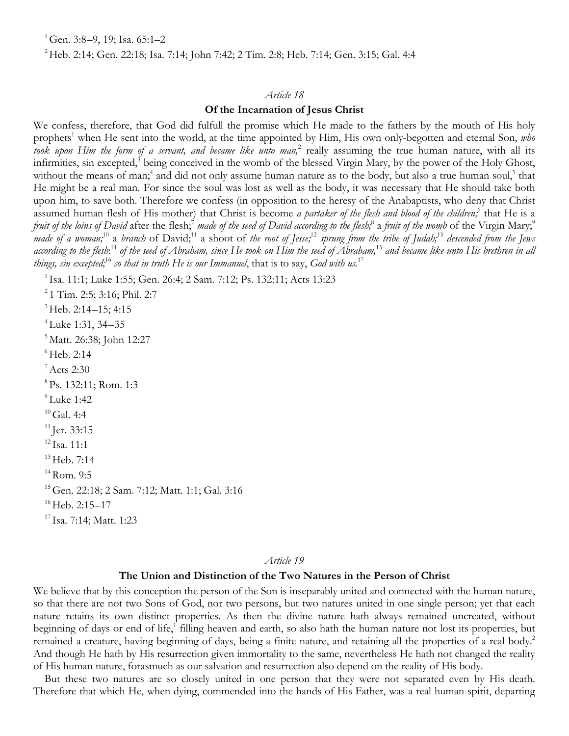## *Article 18*

### **Of the Incarnation of Jesus Christ**

We confess, therefore, that God did fulfull the promise which He made to the fathers by the mouth of His holy prophets<sup>1</sup> when He sent into the world, at the time appointed by Him, His own only-begotten and eternal Son, *who took upon Him the form of a servant, and became like unto man,*<sup>2</sup> really assuming the true human nature, with all its infirmities, sin excepted,<sup>3</sup> being conceived in the womb of the blessed Virgin Mary, by the power of the Holy Ghost, without the means of man;<sup>4</sup> and did not only assume human nature as to the body, but also a true human soul, $5$  that He might be a real man. For since the soul was lost as well as the body, it was necessary that He should take both upon him, to save both. Therefore we confess (in opposition to the heresy of the Anabaptists, who deny that Christ assumed human flesh of His mother) that Christ is become *a partaker of the flesh and blood of the children*,<sup>6</sup> that He is a fruit of the loins of David after the flesh;<sup>7</sup> made of the seed of David according to the flesh;<sup>8</sup> a fruit of the womb  $\rm{of}$  the Virgin Mary;<sup>9</sup> made of a woman;<sup>10</sup> a branch of David;<sup>11</sup> a shoot of the root of Jesse;<sup>12</sup> sprung from the tribe of Judah;<sup>13</sup> descended from the Jews *according to the flesh*: <sup>14</sup> *of the seed of Abraham, since He took on Him the seed of Abraham,*<sup>15</sup> *and became like unto His brethren in all things, sin excepted;*<sup>16</sup> *so that in truth He is our Immanuel*, that is to say, *God with us.*<sup>17</sup>

1 Isa. 11:1; Luke 1:55; Gen. 26:4; 2 Sam. 7:12; Ps. 132:11; Acts 13:23

2 1 Tim. 2:5; 3:16; Phil. 2:7 3 Heb. 2:14–15; 4:15 4 Luke 1:31, 34–35 <sup>5</sup> Matt. 26:38; John 12:27  $<sup>6</sup>$  Heb. 2:14</sup>  $<sup>7</sup>$  Acts 2:30</sup> 8 Ps. 132:11; Rom. 1:3  $^9$  Luke 1:42  $10$  Gal. 4:4  $11$  Jer. 33:15  $12$  Isa. 11:1  $13$  Heb. 7:14  $14$  Rom. 9:5 15 Gen. 22:18; 2 Sam. 7:12; Matt. 1:1; Gal. 3:16  $16$  Heb. 2:15–17 <sup>17</sup> Isa. 7:14; Matt. 1:23

#### *Article 19*

## **The Union and Distinction of the Two Natures in the Person of Christ**

We believe that by this conception the person of the Son is inseparably united and connected with the human nature, so that there are not two Sons of God, nor two persons, but two natures united in one single person; yet that each nature retains its own distinct properties. As then the divine nature hath always remained uncreated, without beginning of days or end of life,<sup>1</sup> filling heaven and earth, so also hath the human nature not lost its properties, but remained a creature, having beginning of days, being a finite nature, and retaining all the properties of a real body.<sup>2</sup> And though He hath by His resurrection given immortality to the same, nevertheless He hath not changed the reality of His human nature, forasmuch as our salvation and resurrection also depend on the reality of His body.

But these two natures are so closely united in one person that they were not separated even by His death. Therefore that which He, when dying, commended into the hands of His Father, was a real human spirit, departing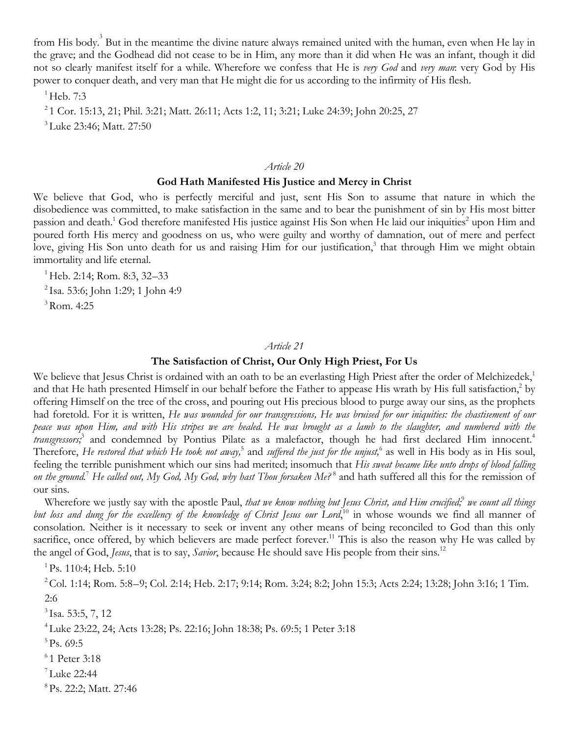from His body.<sup>3</sup> But in the meantime the divine nature always remained united with the human, even when He lay in the grave; and the Godhead did not cease to be in Him, any more than it did when He was an infant, though it did not so clearly manifest itself for a while. Wherefore we confess that He is *very God* and *very man*: very God by His power to conquer death, and very man that He might die for us according to the infirmity of His flesh.

 $1$  Heb. 7:3

2 1 Cor. 15:13, 21; Phil. 3:21; Matt. 26:11; Acts 1:2, 11; 3:21; Luke 24:39; John 20:25, 27 <sup>3</sup> Luke 23:46; Matt. 27:50

### *Article 20*

## **God Hath Manifested His Justice and Mercy in Christ**

We believe that God, who is perfectly merciful and just, sent His Son to assume that nature in which the disobedience was committed, to make satisfaction in the same and to bear the punishment of sin by His most bitter passion and death.<sup>1</sup> God therefore manifested His justice against His Son when He laid our iniquities<sup>2</sup> upon Him and poured forth His mercy and goodness on us, who were guilty and worthy of damnation, out of mere and perfect love, giving His Son unto death for us and raising Him for our justification,<sup>3</sup> that through Him we might obtain immortality and life eternal.

 $1$ <sup>1</sup> Heb. 2:14; Rom. 8:3, 32–33  $2$  Isa. 53:6; John 1:29; 1 John 4:9  $3$  Rom. 4:25

#### *Article 21*

### **The Satisfaction of Christ, Our Only High Priest, For Us**

We believe that Jesus Christ is ordained with an oath to be an everlasting High Priest after the order of Melchizedek,<sup>1</sup> and that He hath presented Himself in our behalf before the Father to appease His wrath by His full satisfaction,<sup>2</sup> by offering Himself on the tree of the cross, and pouring out His precious blood to purge away our sins, as the prophets had foretold. For it is written, *He was wounded for our transgressions, He was bruised for our iniquities: the chastisement of our peace was upon Him, and with His stripes we are healed. He was brought as a lamb to the slaughter, and numbered with the*  transgressors;<sup>3</sup> and condemned by Pontius Pilate as a malefactor, though he had first declared Him innocent.<sup>4</sup> Therefore, *He restored that which He took not away*,<sup>5</sup> and *suffered the just for the unjust*,<sup>6</sup> as well in His body as in His soul, feeling the terrible punishment which our sins had merited; insomuch that *His sweat became like unto drops of blood falling on the ground.*<sup>7</sup> *He called out, My God, My God, why hast Thou forsaken Me?* <sup>8</sup> and hath suffered all this for the remission of our sins.

Wherefore we justly say with the apostle Paul, *that we know nothing but Jesus Christ, and Him crucified;*<sup>9</sup> *we count all things*  but loss and dung for the excellency of the knowledge of Christ Jesus our Lord,<sup>10</sup> in whose wounds we find all manner of consolation. Neither is it necessary to seek or invent any other means of being reconciled to God than this only sacrifice, once offered, by which believers are made perfect forever.<sup>11</sup> This is also the reason why He was called by the angel of God, *Jesus*, that is to say, *Savior*, because He should save His people from their sins.12

 $1\text{Ps}$ . 110:4; Heb. 5:10

<sup>2</sup> Col. 1:14; Rom. 5:8–9; Col. 2:14; Heb. 2:17; 9:14; Rom. 3:24; 8:2; John 15:3; Acts 2:24; 13:28; John 3:16; 1 Tim. 2:6  $3$  Isa. 53:5, 7, 12 4 Luke 23:22, 24; Acts 13:28; Ps. 22:16; John 18:38; Ps. 69:5; 1 Peter 3:18  ${}^{5}P_{S}$ . 69.5 6 1 Peter 3:18 7 Luke 22:44 8 Ps. 22:2; Matt. 27:46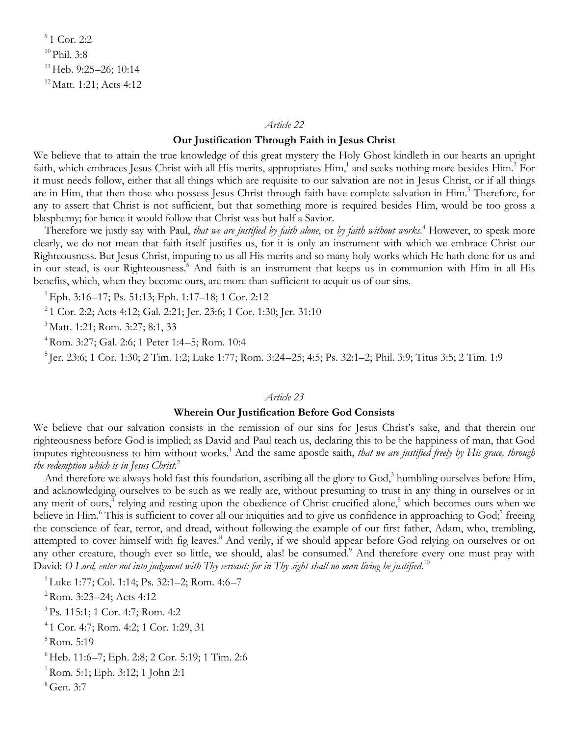<sup>9</sup>1 Cor. 2:2  $10$  Phil  $3.8$  $11$  Heb. 9:25-26; 10:14 12 Matt. 1:21; Acts 4:12

# *Article 22*

# **Our Justification Through Faith in Jesus Christ**

We believe that to attain the true knowledge of this great mystery the Holy Ghost kindleth in our hearts an upright faith, which embraces Jesus Christ with all His merits, appropriates  $\text{Him}^1$  and seeks nothing more besides  $\text{Him}^2$  For it must needs follow, either that all things which are requisite to our salvation are not in Jesus Christ, or if all things are in Him, that then those who possess Jesus Christ through faith have complete salvation in Him.<sup>3</sup> Therefore, for any to assert that Christ is not sufficient, but that something more is required besides Him, would be too gross a blasphemy; for hence it would follow that Christ was but half a Savior.

Therefore we justly say with Paul, *that we are justified by faith alone*, or *by faith without works.*<sup>4</sup> However, to speak more clearly, we do not mean that faith itself justifies us, for it is only an instrument with which we embrace Christ our Righteousness. But Jesus Christ, imputing to us all His merits and so many holy works which He hath done for us and in our stead, is our Righteousness.<sup>5</sup> And faith is an instrument that keeps us in communion with Him in all His benefits, which, when they become ours, are more than sufficient to acquit us of our sins.

 ${}^{1}$ Eph. 3:16–17; Ps. 51:13; Eph. 1:17–18; 1 Cor. 2:12

2 1 Cor. 2:2; Acts 4:12; Gal. 2:21; Jer. 23:6; 1 Cor. 1:30; Jer. 31:10

3 Matt. 1:21; Rom. 3:27; 8:1, 33

4 Rom. 3:27; Gal. 2:6; 1 Peter 1:4–5; Rom. 10:4

5 Jer. 23:6; 1 Cor. 1:30; 2 Tim. 1:2; Luke 1:77; Rom. 3:24–25; 4:5; Ps. 32:1–2; Phil. 3:9; Titus 3:5; 2 Tim. 1:9

### *Article 23*

## **Wherein Our Justification Before God Consists**

We believe that our salvation consists in the remission of our sins for Jesus Christ's sake, and that therein our righteousness before God is implied; as David and Paul teach us, declaring this to be the happiness of man, that God imputes righteousness to him without works.<sup>1</sup> And the same apostle saith, *that we are justified freely by His grace, through the redemption which is in Jesus Christ.*<sup>2</sup>

And therefore we always hold fast this foundation, ascribing all the glory to God,<sup>3</sup> humbling ourselves before Him, and acknowledging ourselves to be such as we really are, without presuming to trust in any thing in ourselves or in any merit of ours,<sup>4</sup> relying and resting upon the obedience of Christ crucified alone,<sup>5</sup> which becomes ours when we believe in Him.<sup>6</sup> This is sufficient to cover all our iniquities and to give us confidence in approaching to God;<sup>7</sup> freeing the conscience of fear, terror, and dread, without following the example of our first father, Adam, who, trembling, attempted to cover himself with fig leaves.<sup>8</sup> And verily, if we should appear before God relying on ourselves or on any other creature, though ever so little, we should, alas! be consumed.<sup>9</sup> And therefore every one must pray with David: *O Lord, enter not into judgment with Thy servant: for in Thy sight shall no man living be justified*. 10

1 Luke 1:77; Col. 1:14; Ps. 32:1–2; Rom. 4:6–7 2 Rom. 3:23–24; Acts 4:12 3 Ps. 115:1; 1 Cor. 4:7; Rom. 4:2 4 1 Cor. 4:7; Rom. 4:2; 1 Cor. 1:29, 31  $5$  Rom. 5:19 6 Heb. 11:6–7; Eph. 2:8; 2 Cor. 5:19; 1 Tim. 2:6 7 Rom. 5:1; Eph. 3:12; 1 John 2:1  ${}^{8}$  Gen. 3:7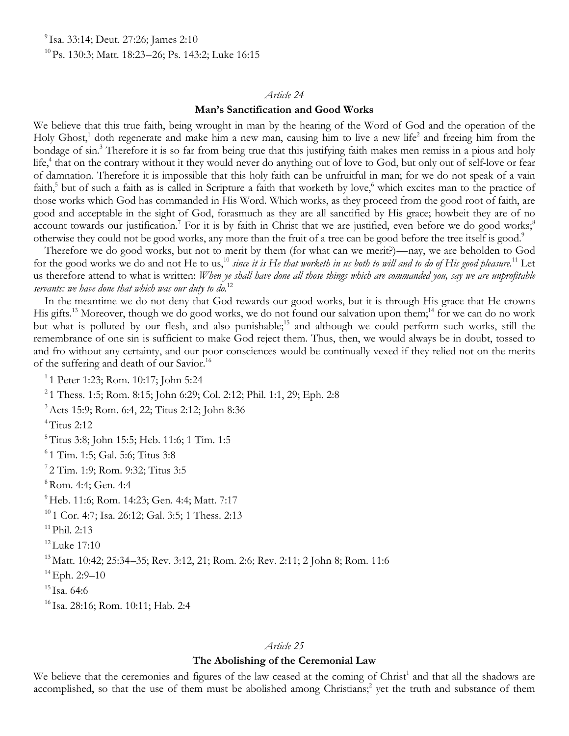<sup>9</sup> Isa. 33:14; Deut. 27:26; James 2:10 10 Ps. 130:3; Matt. 18:23–26; Ps. 143:2; Luke 16:15

## *Article 24*

### **Man's Sanctification and Good Works**

We believe that this true faith, being wrought in man by the hearing of the Word of God and the operation of the Holy Ghost,<sup>1</sup> doth regenerate and make him a new man, causing him to live a new life<sup>2</sup> and freeing him from the bondage of sin.<sup>3</sup> Therefore it is so far from being true that this justifying faith makes men remiss in a pious and holy life,<sup>4</sup> that on the contrary without it they would never do anything out of love to God, but only out of self-love or fear of damnation. Therefore it is impossible that this holy faith can be unfruitful in man; for we do not speak of a vain faith,<sup>5</sup> but of such a faith as is called in Scripture a faith that worketh by love,<sup>6</sup> which excites man to the practice of those works which God has commanded in His Word. Which works, as they proceed from the good root of faith, are good and acceptable in the sight of God, forasmuch as they are all sanctified by His grace; howbeit they are of no account towards our justification.<sup>7</sup> For it is by faith in Christ that we are justified, even before we do good works;<sup>8</sup> otherwise they could not be good works, any more than the fruit of a tree can be good before the tree itself is good.<sup>9</sup>

Therefore we do good works, but not to merit by them (for what can we merit?)—nay, we are beholden to God for the good works we do and not He to us,<sup>10</sup> since it is He that worketh in us both to will and to do of His good pleasure.<sup>11</sup> Let us therefore attend to what is written: *When ye shall have done all those things which are commanded you, say we are unprofitable servants: we have done that which was our duty to do.*<sup>12</sup>

In the meantime we do not deny that God rewards our good works, but it is through His grace that He crowns His gifts.<sup>13</sup> Moreover, though we do good works, we do not found our salvation upon them;<sup>14</sup> for we can do no work but what is polluted by our flesh, and also punishable;<sup>15</sup> and although we could perform such works, still the remembrance of one sin is sufficient to make God reject them. Thus, then, we would always be in doubt, tossed to and fro without any certainty, and our poor consciences would be continually vexed if they relied not on the merits of the suffering and death of our Savior.16

<sup>1</sup> 1 Peter 1:23; Rom. 10:17; John 5:24 2 1 Thess. 1:5; Rom. 8:15; John 6:29; Col. 2:12; Phil. 1:1, 29; Eph. 2:8 3 Acts 15:9; Rom. 6:4, 22; Titus 2:12; John 8:36  $4$ Titus 2:12 5Titus 3:8; John 15:5; Heb. 11:6; 1 Tim. 1:5 6 1 Tim. 1:5; Gal. 5:6; Titus 3:8 7 2 Tim. 1:9; Rom. 9:32; Titus 3:5 8 Rom. 4:4; Gen. 4:4 <sup>9</sup> Heb. 11:6; Rom. 14:23; Gen. 4:4; Matt. 7:17 10 1 Cor. 4:7; Isa. 26:12; Gal. 3:5; 1 Thess. 2:13 <sup>11</sup> Phil. 2:13  $12$  Luke 17:10 13 Matt. 10:42; 25:34–35; Rev. 3:12, 21; Rom. 2:6; Rev. 2:11; 2 John 8; Rom. 11:6  $14$  Eph. 2:9-10  $15$  Isa. 64:6 16 Isa. 28:16; Rom. 10:11; Hab. 2:4

# *Article 25*

# **The Abolishing of the Ceremonial Law**

We believe that the ceremonies and figures of the law ceased at the coming of Christ<sup>1</sup> and that all the shadows are accomplished, so that the use of them must be abolished among Christians;<sup>2</sup> yet the truth and substance of them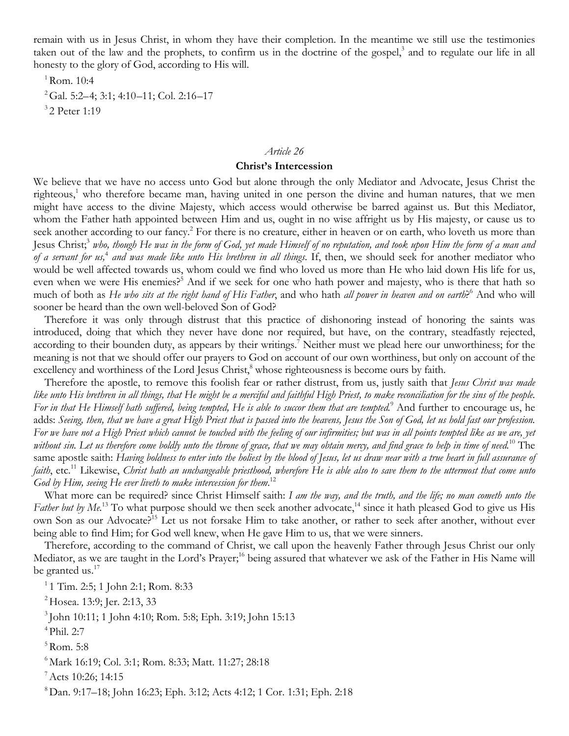remain with us in Jesus Christ, in whom they have their completion. In the meantime we still use the testimonies taken out of the law and the prophets, to confirm us in the doctrine of the gospel, $3$  and to regulate our life in all honesty to the glory of God, according to His will.

 $1^{1}$  Rom. 10:4

 ${}^{2}$ Gal. 5:2-4; 3:1; 4:10-11; Col. 2:16-17 3 2 Peter 1:19

## *Article 26*

### **Christ's Intercession**

We believe that we have no access unto God but alone through the only Mediator and Advocate, Jesus Christ the righteous,<sup>1</sup> who therefore became man, having united in one person the divine and human natures, that we men might have access to the divine Majesty, which access would otherwise be barred against us. But this Mediator, whom the Father hath appointed between Him and us, ought in no wise affright us by His majesty, or cause us to seek another according to our fancy.<sup>2</sup> For there is no creature, either in heaven or on earth, who loveth us more than Jesus Christ;<sup>3</sup> who, though He was in the form of God, yet made Himself of no reputation, and took upon Him the form of a man and *of a servant for us,*<sup>4</sup> *and was made like unto His brethren in all things*. If, then, we should seek for another mediator who would be well affected towards us, whom could we find who loved us more than He who laid down His life for us, even when we were His enemies?<sup>5</sup> And if we seek for one who hath power and majesty, who is there that hath so much of both as *He who sits at the right hand of His Father*, and who hath *all power in heaven and on earth*? <sup>6</sup> And who will sooner be heard than the own well-beloved Son of God?

Therefore it was only through distrust that this practice of dishonoring instead of honoring the saints was introduced, doing that which they never have done nor required, but have, on the contrary, steadfastly rejected, according to their bounden duty, as appears by their writings.<sup>7</sup> Neither must we plead here our unworthiness; for the meaning is not that we should offer our prayers to God on account of our own worthiness, but only on account of the excellency and worthiness of the Lord Jesus Christ,<sup>8</sup> whose righteousness is become ours by faith.

Therefore the apostle, to remove this foolish fear or rather distrust, from us, justly saith that *Jesus Christ was made like unto His brethren in all things, that He might be a merciful and faithful High Priest, to make reconciliation for the sins of the people. For in that He Himself hath suffered, being tempted, He is able to succor them that are tempted.*<sup>9</sup> And further to encourage us, he adds: *Seeing, then, that we have a great High Priest that is passed into the heavens, Jesus the Son of God, let us hold fast our profession. For we have not a High Priest which cannot be touched with the feeling of our infirmities; but was in all points tempted like as we are, yet without sin. Let us therefore come boldly unto the throne of grace, that we may obtain mercy, and find grace to help in time of need.*<sup>10</sup> The same apostle saith: *Having boldness to enter into the holiest by the blood of Jesus, let us draw near with a true heart in full assurance of faith*, etc.11 Likewise, *Christ hath an unchangeable priesthood, wherefore He is able also to save them to the uttermost that come unto God by Him, seeing He ever liveth to make intercession for them*. 12

What more can be required? since Christ Himself saith: *I am the way, and the truth, and the life; no man cometh unto the Father but by Me.*<sup>13</sup> To what purpose should we then seek another advocate,<sup>14</sup> since it hath pleased God to give us His own Son as our Advocate?15 Let us not forsake Him to take another, or rather to seek after another, without ever being able to find Him; for God well knew, when He gave Him to us, that we were sinners.

Therefore, according to the command of Christ, we call upon the heavenly Father through Jesus Christ our only Mediator, as we are taught in the Lord's Prayer;<sup>16</sup> being assured that whatever we ask of the Father in His Name will be granted us. $17$ 

<sup>1</sup> 1 Tim. 2:5; 1 John 2:1; Rom. 8:33

<sup>2</sup> Hosea. 13:9; Jer. 2:13, 33

3 John 10:11; 1 John 4:10; Rom. 5:8; Eph. 3:19; John 15:13

6 Mark 16:19; Col. 3:1; Rom. 8:33; Matt. 11:27; 28:18

 $^7$  Acts 10:26: 14:15

8 Dan. 9:17–18; John 16:23; Eph. 3:12; Acts 4:12; 1 Cor. 1:31; Eph. 2:18

<sup>4</sup> Phil. 2:7

<sup>&</sup>lt;sup>5</sup> Rom. 5:8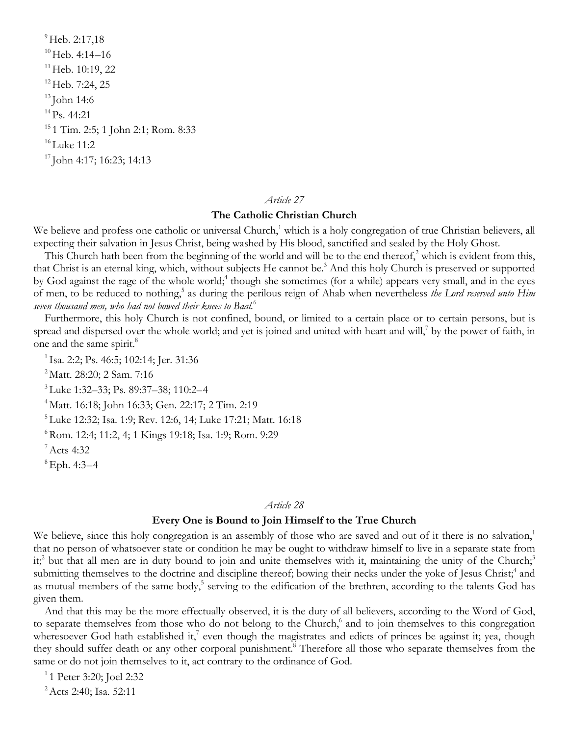$^{9}$  Heb. 2:17,18  $10$  Heb. 4:14–16  $11$  Heb. 10:19, 22 <sup>12</sup> Heb. 7:24, 25  $13$  John 14:6 <sup>14</sup> P<sub>s</sub>. 44:21 15 1 Tim. 2:5; 1 John 2:1; Rom. 8:33  $16$  Luke 11:2 17 John 4:17; 16:23; 14:13

## *Article 27*

### **The Catholic Christian Church**

We believe and profess one catholic or universal Church,<sup>1</sup> which is a holy congregation of true Christian believers, all expecting their salvation in Jesus Christ, being washed by His blood, sanctified and sealed by the Holy Ghost.

This Church hath been from the beginning of the world and will be to the end thereof,<sup>2</sup> which is evident from this, that Christ is an eternal king, which, without subjects He cannot be.<sup>3</sup> And this holy Church is preserved or supported by God against the rage of the whole world;<sup>4</sup> though she sometimes (for a while) appears very small, and in the eyes of men, to be reduced to nothing,<sup>5</sup> as during the perilous reign of Ahab when nevertheless *the Lord reserved unto Him seven thousand men, who had not bowed their knees to Baal.*<sup>6</sup>

Furthermore, this holy Church is not confined, bound, or limited to a certain place or to certain persons, but is spread and dispersed over the whole world; and yet is joined and united with heart and will,<sup>7</sup> by the power of faith, in one and the same spirit.<sup>8</sup>

<sup>1</sup> Isa. 2:2; Ps. 46:5; 102:14; Jer. 31:36

2 Matt. 28:20; 2 Sam. 7:16

3 Luke 1:32–33; Ps. 89:37–38; 110:2–4

4 Matt. 16:18; John 16:33; Gen. 22:17; 2 Tim. 2:19

5 Luke 12:32; Isa. 1:9; Rev. 12:6, 14; Luke 17:21; Matt. 16:18

6 Rom. 12:4; 11:2, 4; 1 Kings 19:18; Isa. 1:9; Rom. 9:29

7 Acts 4:32

 ${}^{8}$ Eph. 4:3–4

### *Article 28*

## **Every One is Bound to Join Himself to the True Church**

We believe, since this holy congregation is an assembly of those who are saved and out of it there is no salvation,<sup>1</sup> that no person of whatsoever state or condition he may be ought to withdraw himself to live in a separate state from it;<sup>2</sup> but that all men are in duty bound to join and unite themselves with it, maintaining the unity of the Church;<sup>3</sup> submitting themselves to the doctrine and discipline thereof; bowing their necks under the yoke of Jesus Christ;<sup>4</sup> and as mutual members of the same body,<sup>5</sup> serving to the edification of the brethren, according to the talents God has given them.

And that this may be the more effectually observed, it is the duty of all believers, according to the Word of God, to separate themselves from those who do not belong to the Church,<sup>6</sup> and to join themselves to this congregation wheresoever God hath established it,<sup>7</sup> even though the magistrates and edicts of princes be against it; yea, though they should suffer death or any other corporal punishment.<sup>8</sup> Therefore all those who separate themselves from the same or do not join themselves to it, act contrary to the ordinance of God.

<sup>1</sup> 1 Peter 3:20; Joel 2:32

 $^{2}$  Acts 2:40; Isa, 52:11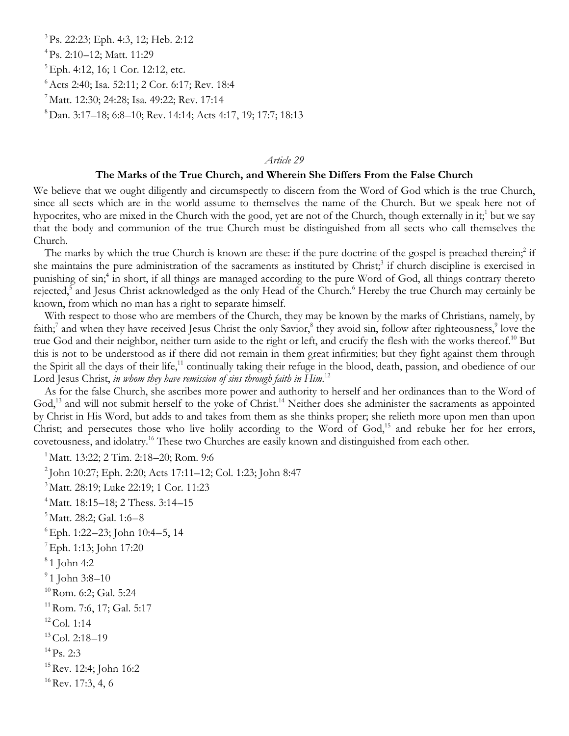3 Ps. 22:23; Eph. 4:3, 12; Heb. 2:12 4 Ps. 2:10–12; Matt. 11:29 <sup>5</sup> Eph. 4:12, 16; 1 Cor. 12:12, etc. 6 Acts 2:40; Isa. 52:11; 2 Cor. 6:17; Rev. 18:4 7 Matt. 12:30; 24:28; Isa. 49:22; Rev. 17:14 8 Dan. 3:17–18; 6:8–10; Rev. 14:14; Acts 4:17, 19; 17:7; 18:13

## *Article 29*

### **The Marks of the True Church, and Wherein She Differs From the False Church**

We believe that we ought diligently and circumspectly to discern from the Word of God which is the true Church, since all sects which are in the world assume to themselves the name of the Church. But we speak here not of hypocrites, who are mixed in the Church with the good, yet are not of the Church, though externally in it;<sup>1</sup> but we say that the body and communion of the true Church must be distinguished from all sects who call themselves the Church.

The marks by which the true Church is known are these: if the pure doctrine of the gospel is preached therein;<sup>2</sup> if she maintains the pure administration of the sacraments as instituted by Christ;<sup>3</sup> if church discipline is exercised in punishing of sin;<sup>4</sup> in short, if all things are managed according to the pure Word of God, all things contrary thereto rejected,<sup>5</sup> and Jesus Christ acknowledged as the only Head of the Church.<sup>6</sup> Hereby the true Church may certainly be known, from which no man has a right to separate himself.

With respect to those who are members of the Church, they may be known by the marks of Christians, namely, by faith;<sup>7</sup> and when they have received Jesus Christ the only Savior,<sup>8</sup> they avoid sin, follow after righteousness,<sup>9</sup> love the true God and their neighbor, neither turn aside to the right or left, and crucify the flesh with the works thereof.<sup>10</sup> But this is not to be understood as if there did not remain in them great infirmities; but they fight against them through the Spirit all the days of their life,<sup>11</sup> continually taking their refuge in the blood, death, passion, and obedience of our Lord Jesus Christ, *in whom they have remission of sins through faith in Him*. 12

As for the false Church, she ascribes more power and authority to herself and her ordinances than to the Word of God,<sup>13</sup> and will not submit herself to the yoke of Christ.<sup>14</sup> Neither does she administer the sacraments as appointed by Christ in His Word, but adds to and takes from them as she thinks proper; she relieth more upon men than upon Christ; and persecutes those who live holily according to the Word of God,<sup>15</sup> and rebuke her for her errors, covetousness, and idolatry.16 These two Churches are easily known and distinguished from each other.

<sup>1</sup> Matt. 13:22; 2 Tim. 2:18–20; Rom. 9:6 2 John 10:27; Eph. 2:20; Acts 17:11–12; Col. 1:23; John 8:47 3 Matt. 28:19; Luke 22:19; 1 Cor. 11:23 4 Matt. 18:15–18; 2 Thess. 3:14–15  $5$  Matt. 28:2: Gal. 1:6-8  ${}^{6}$ Eph. 1:22–23; John 10:4–5, 14 7 Eph. 1:13; John 17:20 8 1 John 4:2  $9$ 1 John 3:8-10 <sup>10</sup> Rom. 6:2; Gal. 5:24 <sup>11</sup> Rom. 7:6, 17; Gal. 5:17  $12$  Col. 1:14  $13$  Col. 2:18-19  $^{14}$  Ps. 2:3 <sup>15</sup> Rev. 12:4; John 16:2  $16$  Rev. 17:3, 4, 6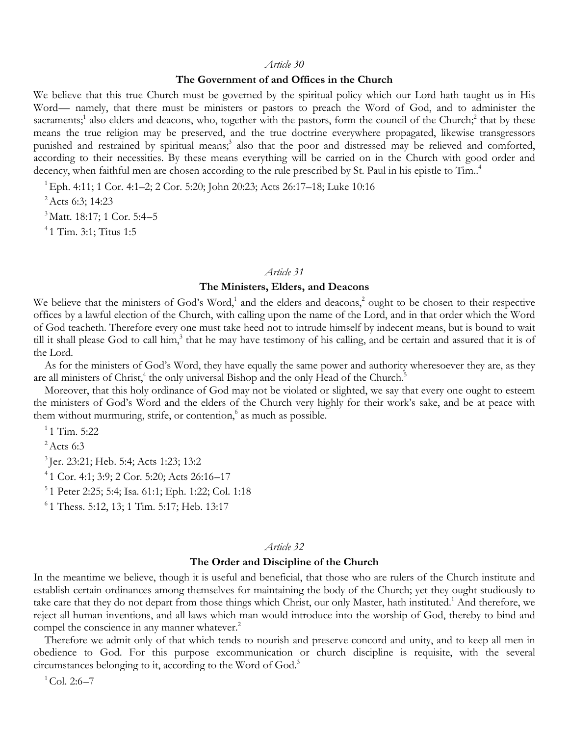## *Article 30*

## **The Government of and Offices in the Church**

We believe that this true Church must be governed by the spiritual policy which our Lord hath taught us in His Word— namely, that there must be ministers or pastors to preach the Word of God, and to administer the sacraments;<sup>1</sup> also elders and deacons, who, together with the pastors, form the council of the Church;<sup>2</sup> that by these means the true religion may be preserved, and the true doctrine everywhere propagated, likewise transgressors punished and restrained by spiritual means;<sup>3</sup> also that the poor and distressed may be relieved and comforted, according to their necessities. By these means everything will be carried on in the Church with good order and decency, when faithful men are chosen according to the rule prescribed by St. Paul in his epistle to Tim.. 4

1 Eph. 4:11; 1 Cor. 4:1–2; 2 Cor. 5:20; John 20:23; Acts 26:17–18; Luke 10:16

 $^{2}$ Acts 6:3: 14:23

3 Matt. 18:17; 1 Cor. 5:4–5

4 1 Tim. 3:1; Titus 1:5

## *Article 31*

### **The Ministers, Elders, and Deacons**

We believe that the ministers of God's Word,<sup>1</sup> and the elders and deacons,<sup>2</sup> ought to be chosen to their respective offices by a lawful election of the Church, with calling upon the name of the Lord, and in that order which the Word of God teacheth. Therefore every one must take heed not to intrude himself by indecent means, but is bound to wait till it shall please God to call him,<sup>3</sup> that he may have testimony of his calling, and be certain and assured that it is of the Lord.

As for the ministers of God's Word, they have equally the same power and authority wheresoever they are, as they are all ministers of Christ,<sup>4</sup> the only universal Bishop and the only Head of the Church.<sup>5</sup>

Moreover, that this holy ordinance of God may not be violated or slighted, we say that every one ought to esteem the ministers of God's Word and the elders of the Church very highly for their work's sake, and be at peace with them without murmuring, strife, or contention, $6$  as much as possible.

 $11$  Tim. 5:22

 $2$  Acts 6:3

3 Jer. 23:21; Heb. 5:4; Acts 1:23; 13:2

4 1 Cor. 4:1; 3:9; 2 Cor. 5:20; Acts 26:16–17

5 1 Peter 2:25; 5:4; Isa. 61:1; Eph. 1:22; Col. 1:18

6 1 Thess. 5:12, 13; 1 Tim. 5:17; Heb. 13:17

## *Article 32*

## **The Order and Discipline of the Church**

In the meantime we believe, though it is useful and beneficial, that those who are rulers of the Church institute and establish certain ordinances among themselves for maintaining the body of the Church; yet they ought studiously to take care that they do not depart from those things which Christ, our only Master, hath instituted.<sup>1</sup> And therefore, we reject all human inventions, and all laws which man would introduce into the worship of God, thereby to bind and compel the conscience in any manner whatever.<sup>2</sup>

Therefore we admit only of that which tends to nourish and preserve concord and unity, and to keep all men in obedience to God. For this purpose excommunication or church discipline is requisite, with the several circumstances belonging to it, according to the Word of God.3

 $1^1$ Col. 2:6-7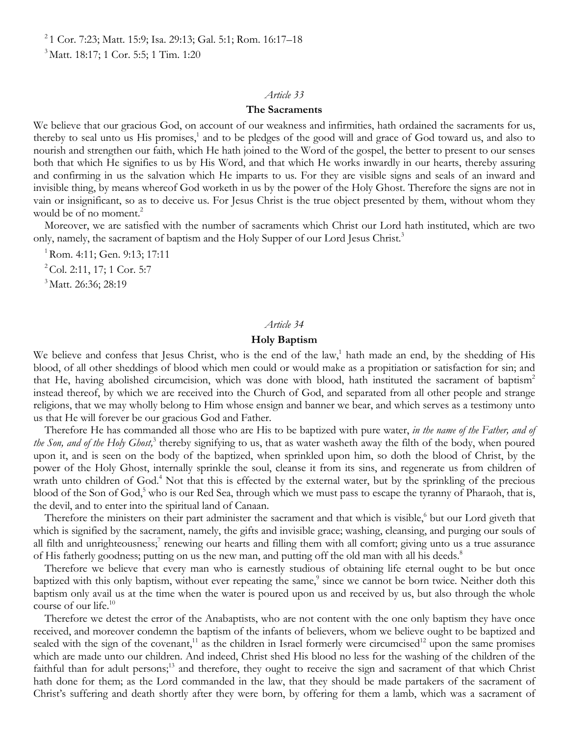### *Article 33*

### **The Sacraments**

We believe that our gracious God, on account of our weakness and infirmities, hath ordained the sacraments for us, thereby to seal unto us His promises,<sup>1</sup> and to be pledges of the good will and grace of God toward us, and also to nourish and strengthen our faith, which He hath joined to the Word of the gospel, the better to present to our senses both that which He signifies to us by His Word, and that which He works inwardly in our hearts, thereby assuring and confirming in us the salvation which He imparts to us. For they are visible signs and seals of an inward and invisible thing, by means whereof God worketh in us by the power of the Holy Ghost. Therefore the signs are not in vain or insignificant, so as to deceive us. For Jesus Christ is the true object presented by them, without whom they would be of no moment.<sup>2</sup>

Moreover, we are satisfied with the number of sacraments which Christ our Lord hath instituted, which are two only, namely, the sacrament of baptism and the Holy Supper of our Lord Jesus Christ.<sup>3</sup>

 $1$  Rom. 4:11; Gen. 9:13; 17:11  $2^2$ Col. 2:11, 17; 1 Cor. 5:7 <sup>3</sup> Matt. 26:36: 28:19

### *Article 34*

### **Holy Baptism**

We believe and confess that Jesus Christ, who is the end of the law,<sup>1</sup> hath made an end, by the shedding of His blood, of all other sheddings of blood which men could or would make as a propitiation or satisfaction for sin; and that He, having abolished circumcision, which was done with blood, hath instituted the sacrament of baptism<sup>2</sup> instead thereof, by which we are received into the Church of God, and separated from all other people and strange religions, that we may wholly belong to Him whose ensign and banner we bear, and which serves as a testimony unto us that He will forever be our gracious God and Father.

Therefore He has commanded all those who are His to be baptized with pure water, *in the name of the Father, and of the Son, and of the Holy Ghost,*<sup>3</sup> thereby signifying to us, that as water washeth away the filth of the body, when poured upon it, and is seen on the body of the baptized, when sprinkled upon him, so doth the blood of Christ, by the power of the Holy Ghost, internally sprinkle the soul, cleanse it from its sins, and regenerate us from children of wrath unto children of God.<sup>4</sup> Not that this is effected by the external water, but by the sprinkling of the precious blood of the Son of God,<sup>5</sup> who is our Red Sea, through which we must pass to escape the tyranny of Pharaoh, that is, the devil, and to enter into the spiritual land of Canaan.

Therefore the ministers on their part administer the sacrament and that which is visible,<sup>6</sup> but our Lord giveth that which is signified by the sacrament, namely, the gifts and invisible grace; washing, cleansing, and purging our souls of all filth and unrighteousness;<sup>7</sup> renewing our hearts and filling them with all comfort; giving unto us a true assurance of His fatherly goodness; putting on us the new man, and putting off the old man with all his deeds.<sup>8</sup>

Therefore we believe that every man who is earnestly studious of obtaining life eternal ought to be but once baptized with this only baptism, without ever repeating the same,<sup>9</sup> since we cannot be born twice. Neither doth this baptism only avail us at the time when the water is poured upon us and received by us, but also through the whole course of our life. $10$ 

Therefore we detest the error of the Anabaptists, who are not content with the one only baptism they have once received, and moreover condemn the baptism of the infants of believers, whom we believe ought to be baptized and sealed with the sign of the covenant,<sup>11</sup> as the children in Israel formerly were circumcised<sup>12</sup> upon the same promises which are made unto our children. And indeed, Christ shed His blood no less for the washing of the children of the faithful than for adult persons;<sup>13</sup> and therefore, they ought to receive the sign and sacrament of that which Christ hath done for them; as the Lord commanded in the law, that they should be made partakers of the sacrament of Christ's suffering and death shortly after they were born, by offering for them a lamb, which was a sacrament of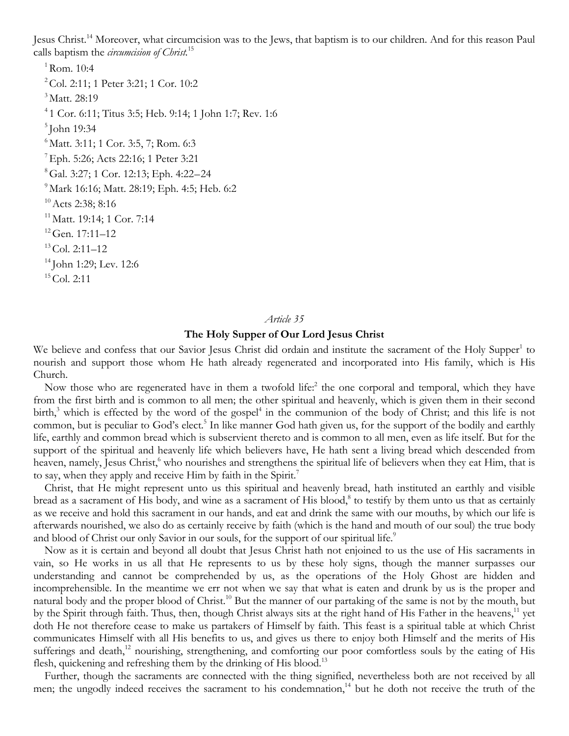Jesus Christ.14 Moreover, what circumcision was to the Jews, that baptism is to our children. And for this reason Paul calls baptism the *circumcision of Christ.*<sup>15</sup>

```
1^{1} Rom. 10:4
2 Col. 2:11; 1 Peter 3:21; 1 Cor. 10:2
<sup>3</sup> Matt. 28:19
4 1 Cor. 6:11; Titus 3:5; Heb. 9:14; 1 John 1:7; Rev. 1:6
5 John 19:34
<sup>6</sup> Matt. 3:11; 1 Cor. 3:5, 7; Rom. 6:3
{}^{7}Eph. 5:26; Acts 22:16; 1 Peter 3:21
8 Gal. 3:27; 1 Cor. 12:13; Eph. 4:22–24
9 Mark 16:16; Matt. 28:19; Eph. 4:5; Heb. 6:2
<sup>10</sup> Acts 2:38; 8:16
<sup>11</sup> Matt. 19:14; 1 Cor. 7:14
12 Gen. 17:11-12
13 Col. 2:11-12
<sup>14</sup> John 1:29; Lev. 12:6
15 \text{Col} 2:11
```
### *Article 35*

# **The Holy Supper of Our Lord Jesus Christ**

We believe and confess that our Savior Jesus Christ did ordain and institute the sacrament of the Holy Supper<sup>1</sup> to nourish and support those whom He hath already regenerated and incorporated into His family, which is His Church.

Now those who are regenerated have in them a twofold life:<sup>2</sup> the one corporal and temporal, which they have from the first birth and is common to all men; the other spiritual and heavenly, which is given them in their second birth,<sup>3</sup> which is effected by the word of the gospel<sup>4</sup> in the communion of the body of Christ; and this life is not common, but is peculiar to God's elect.<sup>5</sup> In like manner God hath given us, for the support of the bodily and earthly life, earthly and common bread which is subservient thereto and is common to all men, even as life itself. But for the support of the spiritual and heavenly life which believers have, He hath sent a living bread which descended from heaven, namely, Jesus Christ,<sup>6</sup> who nourishes and strengthens the spiritual life of believers when they eat Him, that is to say, when they apply and receive Him by faith in the Spirit.<sup>7</sup>

Christ, that He might represent unto us this spiritual and heavenly bread, hath instituted an earthly and visible bread as a sacrament of His body, and wine as a sacrament of His blood,<sup>8</sup> to testify by them unto us that as certainly as we receive and hold this sacrament in our hands, and eat and drink the same with our mouths, by which our life is afterwards nourished, we also do as certainly receive by faith (which is the hand and mouth of our soul) the true body and blood of Christ our only Savior in our souls, for the support of our spiritual life.<sup>9</sup>

Now as it is certain and beyond all doubt that Jesus Christ hath not enjoined to us the use of His sacraments in vain, so He works in us all that He represents to us by these holy signs, though the manner surpasses our understanding and cannot be comprehended by us, as the operations of the Holy Ghost are hidden and incomprehensible. In the meantime we err not when we say that what is eaten and drunk by us is the proper and natural body and the proper blood of Christ.<sup>10</sup> But the manner of our partaking of the same is not by the mouth, but by the Spirit through faith. Thus, then, though Christ always sits at the right hand of His Father in the heavens,<sup>11</sup> yet doth He not therefore cease to make us partakers of Himself by faith. This feast is a spiritual table at which Christ communicates Himself with all His benefits to us, and gives us there to enjoy both Himself and the merits of His sufferings and death,<sup>12</sup> nourishing, strengthening, and comforting our poor comfortless souls by the eating of His flesh, quickening and refreshing them by the drinking of His blood.<sup>13</sup>

Further, though the sacraments are connected with the thing signified, nevertheless both are not received by all men; the ungodly indeed receives the sacrament to his condemnation,<sup>14</sup> but he doth not receive the truth of the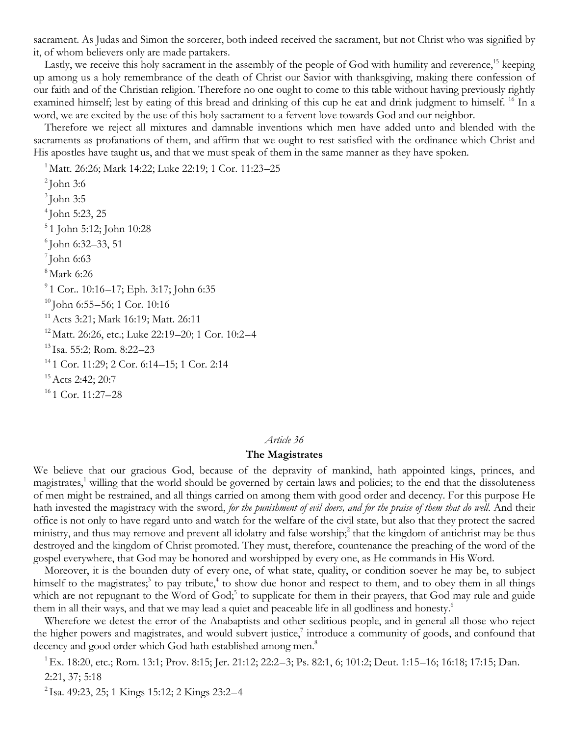sacrament. As Judas and Simon the sorcerer, both indeed received the sacrament, but not Christ who was signified by it, of whom believers only are made partakers.

Lastly, we receive this holy sacrament in the assembly of the people of God with humility and reverence,<sup>15</sup> keeping up among us a holy remembrance of the death of Christ our Savior with thanksgiving, making there confession of our faith and of the Christian religion. Therefore no one ought to come to this table without having previously rightly examined himself; lest by eating of this bread and drinking of this cup he eat and drink judgment to himself. <sup>16</sup> In a word, we are excited by the use of this holy sacrament to a fervent love towards God and our neighbor.

Therefore we reject all mixtures and damnable inventions which men have added unto and blended with the sacraments as profanations of them, and affirm that we ought to rest satisfied with the ordinance which Christ and His apostles have taught us, and that we must speak of them in the same manner as they have spoken.

<sup>1</sup> Matt. 26:26; Mark 14:22; Luke 22:19; 1 Cor. 11:23-25

 $2$  John 3:6  $3$  John 3:5  $4$  John 5:23, 25 5 1 John 5:12; John 10:28  $6$  John 6:32-33, 51  $7$  John 6:63 8 Mark 6:26 9 1 Cor.. 10:16–17; Eph. 3:17; John 6:35 10 John 6:55–56; 1 Cor. 10:16 <sup>11</sup> Acts 3:21; Mark 16:19; Matt. 26:11 12 Matt. 26:26, etc.; Luke 22:19–20; 1 Cor. 10:2–4 13 Isa. 55:2; Rom. 8:22–23 14 1 Cor. 11:29; 2 Cor. 6:14–15; 1 Cor. 2:14 <sup>15</sup> Acts 2:42; 20:7 <sup>16</sup> 1 Cor. 11:27-28

## *Article 36*

## **The Magistrates**

We believe that our gracious God, because of the depravity of mankind, hath appointed kings, princes, and magistrates,<sup>1</sup> willing that the world should be governed by certain laws and policies; to the end that the dissoluteness of men might be restrained, and all things carried on among them with good order and decency. For this purpose He hath invested the magistracy with the sword, *for the punishment of evil doers, and for the praise of them that do well*. And their office is not only to have regard unto and watch for the welfare of the civil state, but also that they protect the sacred ministry, and thus may remove and prevent all idolatry and false worship;<sup>2</sup> that the kingdom of antichrist may be thus destroyed and the kingdom of Christ promoted. They must, therefore, countenance the preaching of the word of the gospel everywhere, that God may be honored and worshipped by every one, as He commands in His Word.

Moreover, it is the bounden duty of every one, of what state, quality, or condition soever he may be, to subject himself to the magistrates;<sup>3</sup> to pay tribute,<sup>4</sup> to show due honor and respect to them, and to obey them in all things which are not repugnant to the Word of God;<sup>5</sup> to supplicate for them in their prayers, that God may rule and guide them in all their ways, and that we may lead a quiet and peaceable life in all godliness and honesty.<sup>6</sup>

Wherefore we detest the error of the Anabaptists and other seditious people, and in general all those who reject the higher powers and magistrates, and would subvert justice,<sup>7</sup> introduce a community of goods, and confound that decency and good order which God hath established among men.<sup>8</sup>

<sup>1</sup> Ex. 18:20, etc.; Rom. 13:1; Prov. 8:15; Jer. 21:12; 22:2–3; Ps. 82:1, 6; 101:2; Deut. 1:15–16; 16:18; 17:15; Dan. 2:21, 37; 5:18

2 Isa. 49:23, 25; 1 Kings 15:12; 2 Kings 23:2–4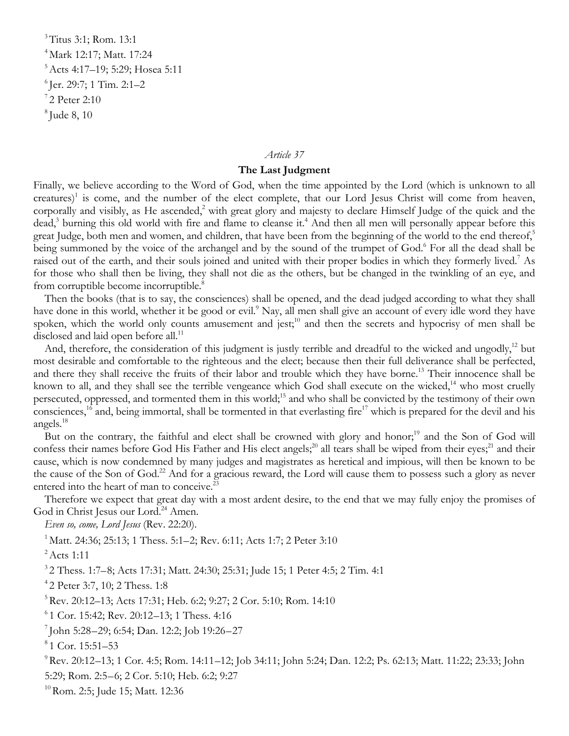$3$ <sup>3</sup> Titus 3:1; Rom. 13:1 4 Mark 12:17; Matt. 17:24 5 Acts 4:17–19; 5:29; Hosea 5:11  $6$  Jer. 29:7; 1 Tim. 2:1-2 7 2 Peter 2:10 8 Jude 8, 10

## *Article 37*

## **The Last Judgment**

Finally, we believe according to the Word of God, when the time appointed by the Lord (which is unknown to all creatures)<sup>1</sup> is come, and the number of the elect complete, that our Lord Jesus Christ will come from heaven, corporally and visibly, as He ascended,<sup>2</sup> with great glory and majesty to declare Himself Judge of the quick and the dead,<sup>3</sup> burning this old world with fire and flame to cleanse it.<sup>4</sup> And then all men will personally appear before this great Judge, both men and women, and children, that have been from the beginning of the world to the end thereof,<sup>5</sup> being summoned by the voice of the archangel and by the sound of the trumpet of God.<sup>6</sup> For all the dead shall be raised out of the earth, and their souls joined and united with their proper bodies in which they formerly lived.<sup>7</sup> As for those who shall then be living, they shall not die as the others, but be changed in the twinkling of an eye, and from corruptible become incorruptible.<sup>8</sup>

Then the books (that is to say, the consciences) shall be opened, and the dead judged according to what they shall have done in this world, whether it be good or evil.<sup>9</sup> Nay, all men shall give an account of every idle word they have spoken, which the world only counts amusement and jest;<sup>10</sup> and then the secrets and hypocrisy of men shall be disclosed and laid open before all.<sup>11</sup>

And, therefore, the consideration of this judgment is justly terrible and dreadful to the wicked and ungodly,<sup>12</sup> but most desirable and comfortable to the righteous and the elect; because then their full deliverance shall be perfected, and there they shall receive the fruits of their labor and trouble which they have borne.<sup>13</sup> Their innocence shall be known to all, and they shall see the terrible vengeance which God shall execute on the wicked,<sup>14</sup> who most cruelly persecuted, oppressed, and tormented them in this world;15 and who shall be convicted by the testimony of their own consciences,<sup>16</sup> and, being immortal, shall be tormented in that everlasting fire<sup>17</sup> which is prepared for the devil and his angels.18

But on the contrary, the faithful and elect shall be crowned with glory and honor;<sup>19</sup> and the Son of God will confess their names before God His Father and His elect angels;<sup>20</sup> all tears shall be wiped from their eyes;<sup>21</sup> and their cause, which is now condemned by many judges and magistrates as heretical and impious, will then be known to be the cause of the Son of God.<sup>22</sup> And for a gracious reward, the Lord will cause them to possess such a glory as never entered into the heart of man to conceive.<sup>23</sup>

Therefore we expect that great day with a most ardent desire, to the end that we may fully enjoy the promises of God in Christ Jesus our Lord.<sup>24</sup> Amen.

*Even so, come, Lord Jesus* (Rev. 22:20).

<sup>1</sup> Matt. 24:36; 25:13; 1 Thess. 5:1-2; Rev. 6:11; Acts 1:7; 2 Peter 3:10

 $2$ Acts 1:11

3 2 Thess. 1:7–8; Acts 17:31; Matt. 24:30; 25:31; Jude 15; 1 Peter 4:5; 2 Tim. 4:1

4 2 Peter 3:7, 10; 2 Thess. 1:8

5 Rev. 20:12–13; Acts 17:31; Heb. 6:2; 9:27; 2 Cor. 5:10; Rom. 14:10

 $6$  1 Cor. 15:42; Rev. 20:12–13; 1 Thess. 4:16

7 John 5:28–29; 6:54; Dan. 12:2; Job 19:26–27

 $81$  Cor. 15:51–53

9 Rev. 20:12–13; 1 Cor. 4:5; Rom. 14:11–12; Job 34:11; John 5:24; Dan. 12:2; Ps. 62:13; Matt. 11:22; 23:33; John 5:29; Rom. 2:5–6; 2 Cor. 5:10; Heb. 6:2; 9:27

10 Rom. 2:5; Jude 15; Matt. 12:36